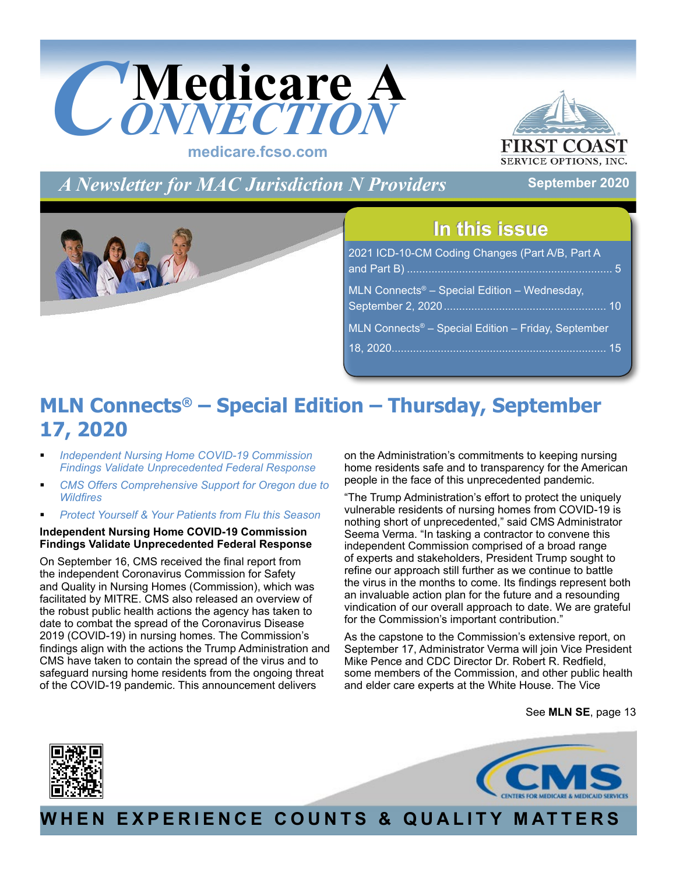<span id="page-0-0"></span>

**FIRST C SERVICE OPTIONS, INC.** 

**September 2020**

*A Newsletter for MAC Jurisdiction N Providers*

### **In this issue In this issue**

| 2021 ICD-10-CM Coding Changes (Part A/B, Part A                 |  |
|-----------------------------------------------------------------|--|
| MLN Connects <sup>®</sup> – Special Edition – Wednesday,        |  |
| MLN Connects <sup>®</sup> - Special Edition - Friday, September |  |
|                                                                 |  |

### **MLN Connects® – Special Edition – Thursday, September 17, 2020**

- *Independent Nursing Home COVID-19 Commission Findings Validate Unprecedented Federal Response*
- *[CMS Offers Comprehensive Support for Oregon due to](#page-13-0) Wildfires*
- *[Protect Yourself & Your Patients from Flu this Season](#page-13-0)*

### **Independent Nursing Home COVID-19 Commission Findings Validate Unprecedented Federal Response**

On September 16, CMS received the final report from the independent Coronavirus Commission for Safety and Quality in Nursing Homes (Commission), which was facilitated by MITRE. CMS also released an overview of the robust public health actions the agency has taken to date to combat the spread of the Coronavirus Disease 2019 (COVID-19) in nursing homes. The Commission's findings align with the actions the Trump Administration and CMS have taken to contain the spread of the virus and to safeguard nursing home residents from the ongoing threat of the COVID-19 pandemic. This announcement delivers

on the Administration's commitments to keeping nursing home residents safe and to transparency for the American people in the face of this unprecedented pandemic.

"The Trump Administration's effort to protect the uniquely vulnerable residents of nursing homes from COVID-19 is nothing short of unprecedented," said CMS Administrator Seema Verma. "In tasking a contractor to convene this independent Commission comprised of a broad range of experts and stakeholders, President Trump sought to refine our approach still further as we continue to battle the virus in the months to come. Its findings represent both an invaluable action plan for the future and a resounding vindication of our overall approach to date. We are grateful for the Commission's important contribution."

As the capstone to the Commission's extensive report, on September 17, Administrator Verma will join Vice President Mike Pence and CDC Director Dr. Robert R. Redfield, some members of the Commission, and other public health and elder care experts at the White House. The Vice

See **MLN SE**[, page 13](#page-12-0)





**WHEN EXPERIENCE COUNTS & QUALITY MATTERS**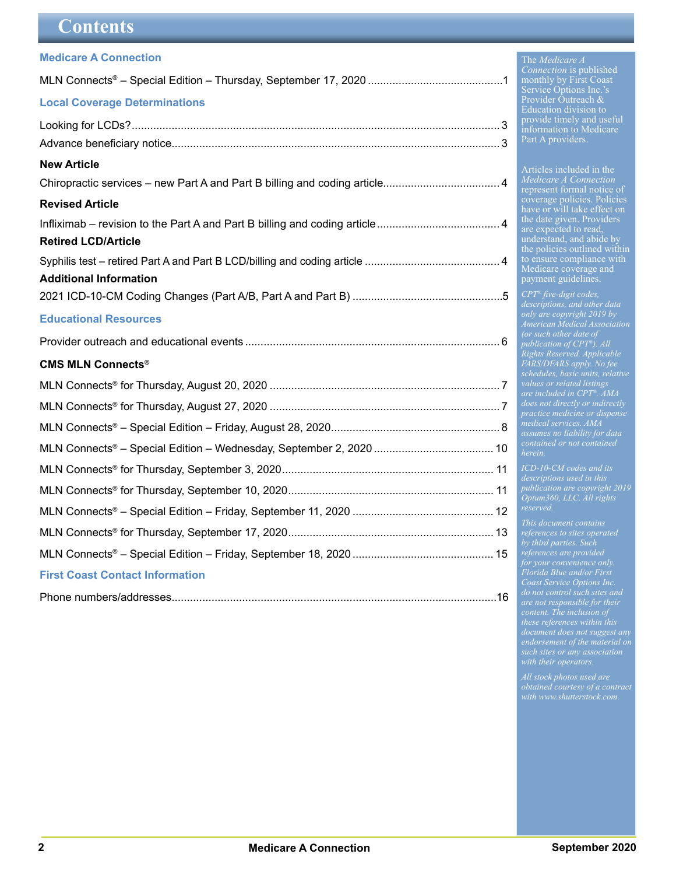### **Contents**

<span id="page-1-0"></span>

| <b>Medicare A Connection</b>           |  |
|----------------------------------------|--|
|                                        |  |
| <b>Local Coverage Determinations</b>   |  |
|                                        |  |
|                                        |  |
| <b>New Article</b>                     |  |
|                                        |  |
| <b>Revised Article</b>                 |  |
|                                        |  |
| <b>Retired LCD/Article</b>             |  |
|                                        |  |
| <b>Additional Information</b>          |  |
|                                        |  |
| <b>Educational Resources</b>           |  |
|                                        |  |
| <b>CMS MLN Connects®</b>               |  |
|                                        |  |
|                                        |  |
|                                        |  |
|                                        |  |
|                                        |  |
|                                        |  |
|                                        |  |
|                                        |  |
|                                        |  |
| <b>First Coast Contact Information</b> |  |
|                                        |  |

#### The *Medicare A Connection* is published monthly by First Coast Service Options Inc.'s Provider Outreach & Education division to provide timely and useful information to Medicare Part A providers.

Articles included in the *Medicare A Connection* represent formal notice of coverage policies. Policies have or will take effect on the date given. Providers are expected to read, understand, and abide by the policies outlined within to ensure compliance with Medicare coverage and payment guidelines.

*CPT® five-digit codes, only are copyright 2019 by American Medical Association publication of CPT®). All Rights Reserved. Applicable FARS/DFARS apply. No fee schedules, basic units, relative values or related listings are included in CPT®. AMA medical services. AMA assumes no liability for data herein.*

*ICD-10-CM codes and its publication are copyright 2019 Optum360, LLC. All rights* 

*This document contains by third parties. Such Florida Blue and/or First Coast Service Options Inc. are not responsible for their content. The inclusion of these references within this endorsement of the material on*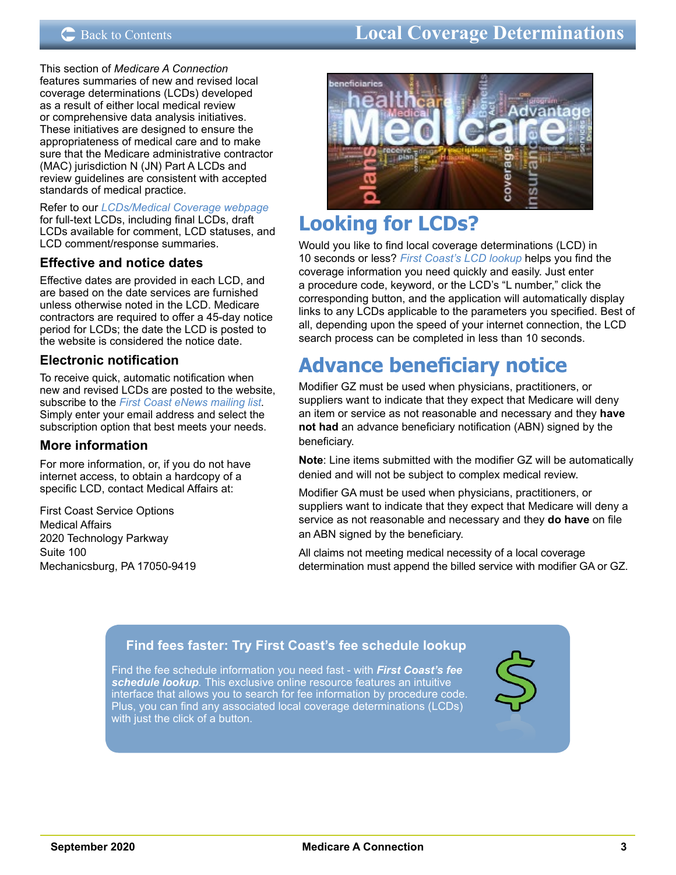### <span id="page-2-0"></span>C [Back to Contents](#page-1-0) **Electronic Data Interventions Local Coverage Determinations**

This section of *Medicare A Connection* features summaries of new and revised local coverage determinations (LCDs) developed as a result of either local medical review or comprehensive data analysis initiatives. These initiatives are designed to ensure the appropriateness of medical care and to make sure that the Medicare administrative contractor (MAC) jurisdiction N (JN) Part A LCDs and review guidelines are consistent with accepted standards of medical practice.

Refer to our *[LCDs/Medical Coverage webpage](https://medicare.fcso.com/Landing/139800.asp)* for full-text LCDs, including final LCDs, draft LCDs available for comment, LCD statuses, and LCD comment/response summaries.

### **Effective and notice dates**

Effective dates are provided in each LCD, and are based on the date services are furnished unless otherwise noted in the LCD. Medicare contractors are required to offer a 45-day notice period for LCDs; the date the LCD is posted to the website is considered the notice date.

### **Electronic notification**

To receive quick, automatic notification when new and revised LCDs are posted to the website, subscribe to the *[First Coast eNews mailing list](https://medicare.fcso.com/Header/137525.asp)*. Simply enter your email address and select the subscription option that best meets your needs.

### **More information**

For more information, or, if you do not have internet access, to obtain a hardcopy of a specific LCD, contact Medical Affairs at:

First Coast Service Options Medical Affairs 2020 Technology Parkway Suite 100 Mechanicsburg, PA 17050-9419



### **Looking for LCDs?**

Would you like to find local coverage determinations (LCD) in 10 seconds or less? *[First Coast's LCD lookup](https://medicare.fcso.com/coverage_find_lcds_and_ncds/lcd_search.asp)* helps you find the coverage information you need quickly and easily. Just enter a procedure code, keyword, or the LCD's "L number," click the corresponding button, and the application will automatically display links to any LCDs applicable to the parameters you specified. Best of all, depending upon the speed of your internet connection, the LCD search process can be completed in less than 10 seconds.

# **Advance beneficiary notice**

Modifier GZ must be used when physicians, practitioners, or suppliers want to indicate that they expect that Medicare will deny an item or service as not reasonable and necessary and they **have not had** an advance beneficiary notification (ABN) signed by the beneficiary.

**Note**: Line items submitted with the modifier GZ will be automatically denied and will not be subject to complex medical review.

Modifier GA must be used when physicians, practitioners, or suppliers want to indicate that they expect that Medicare will deny a service as not reasonable and necessary and they **do have** on file an ABN signed by the beneficiary.

All claims not meeting medical necessity of a local coverage determination must append the billed service with modifier GA or GZ.

### **[Find fees faster: Try First Coast's fee schedule lookup](https://medicare.fcso.com/SharedTools/faces/FeeSchedule_en.jspx?_afrLoop=576776223289479&state=FL&lob=Part+A&_afrWindowMode=0&_adf.ctrl-state=75uf8rhm7_4)**

Find the fee schedule information you need fast - with *[First Coast's fee](http://medicare.fcso.com/Fee_lookup/fee_schedule.asp)  [schedule lookup](http://medicare.fcso.com/Fee_lookup/fee_schedule.asp).* This exclusive online resource features an intuitive interface that allows you to search for fee information by procedure code. Plus, you can find any associated local coverage determinations (LCDs) with just the click of a button.

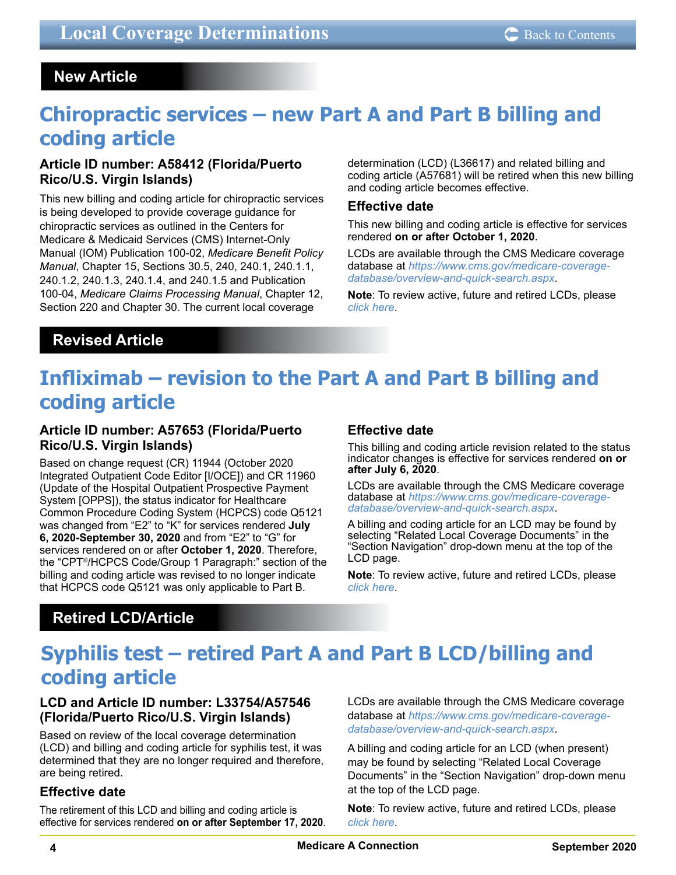### <span id="page-3-0"></span> **New Article**

## **Chiropractic services – new Part A and Part B billing and coding article**

### **Article ID number: A58412 (Florida/Puerto Rico/U.S. Virgin Islands)**

This new billing and coding article for chiropractic services is being developed to provide coverage guidance for chiropractic services as outlined in the Centers for Medicare & Medicaid Services (CMS) Internet-Only Manual (IOM) Publication 100-02, *Medicare Benefit Policy Manual*, Chapter 15, Sections 30.5, 240, 240.1, 240.1.1, 240.1.2, 240.1.3, 240.1.4, and 240.1.5 and Publication 100-04, *Medicare Claims Processing Manual*, Chapter 12, Section 220 and Chapter 30. The current local coverage

determination (LCD) (L36617) and related billing and coding article (A57681) will be retired when this new billing and coding article becomes effective.

### **Effective date**

This new billing and coding article is effective for services rendered **on or after October 1, 2020**.

LCDs are available through the CMS Medicare coverage database at *[https://www.cms.gov/medicare-coverage](https://www.cms.gov/medicare-coverage-database/overview-and-quick-search.aspx)[database/overview-and-quick-search.aspx](https://www.cms.gov/medicare-coverage-database/overview-and-quick-search.aspx)*.

**Note**: To review active, future and retired LCDs, please *[click here](https://medicare.fcso.com/Coverage_Find_LCDs_and_NCDs/index.asp)*.

### **Revised Article**

# **Infliximab – revision to the Part A and Part B billing and coding article**

### **Article ID number: A57653 (Florida/Puerto Rico/U.S. Virgin Islands)**

Based on change request (CR) 11944 (October 2020 Integrated Outpatient Code Editor [I/OCE]) and CR 11960 (Update of the Hospital Outpatient Prospective Payment System [OPPS]), the status indicator for Healthcare Common Procedure Coding System (HCPCS) code Q5121 was changed from "E2" to "K" for services rendered **July 6, 2020-September 30, 2020** and from "E2" to "G" for services rendered on or after **October 1, 2020**. Therefore, the "CPT®/HCPCS Code/Group 1 Paragraph:" section of the billing and coding article was revised to no longer indicate that HCPCS code Q5121 was only applicable to Part B.

### **Effective date**

This billing and coding article revision related to the status indicator changes is effective for services rendered **on or after July 6, 2020**.

LCDs are available through the CMS Medicare coverage database at *[https://www.cms.gov/medicare-coverage](https://www.cms.gov/medicare-coverage-database/overview-and-quick-search.aspx)[database/overview-and-quick-search.aspx](https://www.cms.gov/medicare-coverage-database/overview-and-quick-search.aspx)*.

A billing and coding article for an LCD may be found by selecting "Related Local Coverage Documents" in the "Section Navigation" drop-down menu at the top of the LCD page.

**Note**: To review active, future and retired LCDs, please *[click here](https://medicare.fcso.com/Coverage_Find_LCDs_and_NCDs/index.asp)*.

### **Retired LCD/Article**

## **Syphilis test – retired Part A and Part B LCD/billing and coding article**

### **LCD and Article ID number: L33754/A57546 (Florida/Puerto Rico/U.S. Virgin Islands)**

Based on review of the local coverage determination (LCD) and billing and coding article for syphilis test, it was determined that they are no longer required and therefore, are being retired.

### **Effective date**

The retirement of this LCD and billing and coding article is effective for services rendered **on or after September 17, 2020**. LCDs are available through the CMS Medicare coverage database at *[https://www.cms.gov/medicare-coverage](https://www.cms.gov/medicare-coverage-database/overview-and-quick-search.aspx)[database/overview-and-quick-search.aspx](https://www.cms.gov/medicare-coverage-database/overview-and-quick-search.aspx)*.

A billing and coding article for an LCD (when present) may be found by selecting "Related Local Coverage Documents" in the "Section Navigation" drop-down menu at the top of the LCD page.

**Note**: To review active, future and retired LCDs, please *[click here](https://medicare.fcso.com/Coverage_Find_LCDs_and_NCDs/index.asp)*.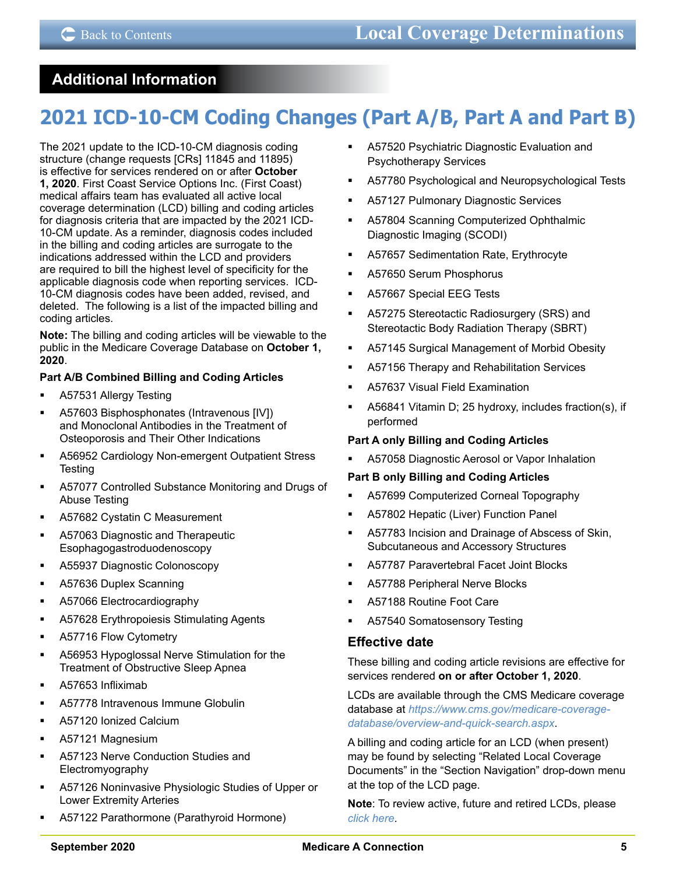### <span id="page-4-0"></span> **Additional Information**

# **2021 ICD-10-CM Coding Changes (Part A/B, Part A and Part B)**

The 2021 update to the ICD-10-CM diagnosis coding structure (change requests [CRs] 11845 and 11895) is effective for services rendered on or after **October 1, 2020**. First Coast Service Options Inc. (First Coast) medical affairs team has evaluated all active local coverage determination (LCD) billing and coding articles for diagnosis criteria that are impacted by the 2021 ICD-10-CM update. As a reminder, diagnosis codes included in the billing and coding articles are surrogate to the indications addressed within the LCD and providers are required to bill the highest level of specificity for the applicable diagnosis code when reporting services. ICD-10-CM diagnosis codes have been added, revised, and deleted. The following is a list of the impacted billing and coding articles.

**Note:** The billing and coding articles will be viewable to the public in the Medicare Coverage Database on **October 1, 2020**.

### **Part A/B Combined Billing and Coding Articles**

- A57531 Allergy Testing
- A57603 Bisphosphonates (Intravenous [IV]) and Monoclonal Antibodies in the Treatment of Osteoporosis and Their Other Indications
- A56952 Cardiology Non-emergent Outpatient Stress **Testing**
- A57077 Controlled Substance Monitoring and Drugs of Abuse Testing
- A57682 Cystatin C Measurement
- A57063 Diagnostic and Therapeutic Esophagogastroduodenoscopy
- A55937 Diagnostic Colonoscopy
- A57636 Duplex Scanning
- A57066 Electrocardiography
- A57628 Erythropoiesis Stimulating Agents
- **A57716 Flow Cytometry**
- A56953 Hypoglossal Nerve Stimulation for the Treatment of Obstructive Sleep Apnea
- A57653 Infliximab
- A57778 Intravenous Immune Globulin
- A57120 Ionized Calcium
- A57121 Magnesium
- **A57123 Nerve Conduction Studies and** Electromyography
- A57126 Noninvasive Physiologic Studies of Upper or Lower Extremity Arteries
- A57122 Parathormone (Parathyroid Hormone)
- A57520 Psychiatric Diagnostic Evaluation and Psychotherapy Services
- A57780 Psychological and Neuropsychological Tests
- A57127 Pulmonary Diagnostic Services
- A57804 Scanning Computerized Ophthalmic Diagnostic Imaging (SCODI)
- A57657 Sedimentation Rate, Erythrocyte
- A57650 Serum Phosphorus
- A57667 Special EEG Tests
- A57275 Stereotactic Radiosurgery (SRS) and Stereotactic Body Radiation Therapy (SBRT)
- A57145 Surgical Management of Morbid Obesity
- A57156 Therapy and Rehabilitation Services
- A57637 Visual Field Examination
- A56841 Vitamin D; 25 hydroxy, includes fraction(s), if performed

### **Part A only Billing and Coding Articles**

 A57058 Diagnostic Aerosol or Vapor Inhalation

### **Part B only Billing and Coding Articles**

- A57699 Computerized Corneal Topography
- A57802 Hepatic (Liver) Function Panel
- A57783 Incision and Drainage of Abscess of Skin, Subcutaneous and Accessory Structures
- A57787 Paravertebral Facet Joint Blocks
- A57788 Peripheral Nerve Blocks
- A57188 Routine Foot Care
- A57540 Somatosensory Testing

### **Effective date**

These billing and coding article revisions are effective for services rendered **on or after October 1, 2020**.

LCDs are available through the CMS Medicare coverage database at *[https://www.cms.gov/medicare-coverage](https://www.cms.gov/medicare-coverage-database/overview-and-quick-search.aspx)[database/overview-and-quick-search.aspx](https://www.cms.gov/medicare-coverage-database/overview-and-quick-search.aspx)*.

A billing and coding article for an LCD (when present) may be found by selecting "Related Local Coverage Documents" in the "Section Navigation" drop-down menu at the top of the LCD page.

**Note**: To review active, future and retired LCDs, please *[click here](https://medicare.fcso.com/Coverage_Find_LCDs_and_NCDs/index.asp)*.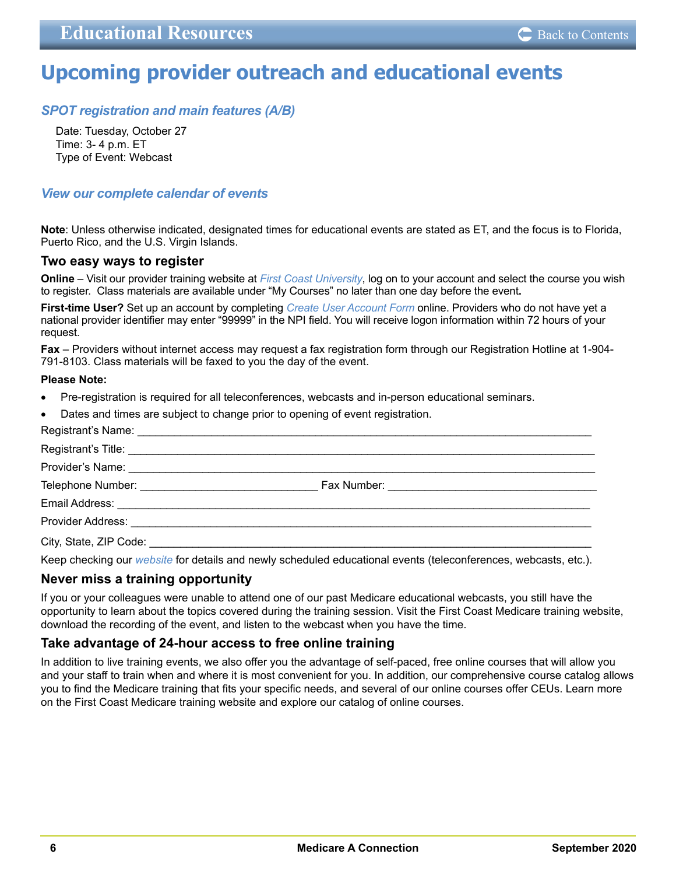### <span id="page-5-0"></span>**Upcoming provider outreach and educational events**

### *[SPOT registration and main features \(A/B\)](https://medicare.fcso.com/Events/0473504.asp)*

Date: Tuesday, October 27 Time: 3- 4 p.m. ET Type of Event: Webcast

### *[View our complete calendar of events](https://medicare.fcso.com/Events/139814.asp)*

**Note**: Unless otherwise indicated, designated times for educational events are stated as ET, and the focus is to Florida, Puerto Rico, and the U.S. Virgin Islands.

### **Two easy ways to register**

**Online** – Visit our provider training website at *[First Coast University](https://guidewell.sumtotal.host/Broker/Account/Login.aspx?wtrealm=https%3a%2f%2fGUIDEWELL.sumtotal.host%2fcore%2f&init=true&ReturnUrl=http%3a%2f%2fguidewell.sumtotal.host%2fBroker%2fToken%2fSaml11.ashx%3fwa%3dwsignin1.0%26wtrealm%3dhttps%253a%252f%252fGUIDEWELL.sumtotal.host%252fcore%252f%26wreply%3dhttps%253a%252f%252fguidewell.sumtotal.host%252fCore&bypassfederation=1&domainid=8A0DED2D7B2C42E650514E91ABFEC309)*, log on to your account and select the course you wish to register. Class materials are available under "My Courses" no later than one day before the event**.** 

**First-time User?** Set up an account by completing *[Create User Account Form](https://guidewell.sumtotal.host/Broker/Account/SelfCreateUser.aspx?wtrealm=https%3a%2f%2fGUIDEWELL.sumtotal.host%2fcore%2f&ReturnUrl=http%3a%2f%2fguidewell.sumtotal.host%2fBroker%2fToken%2fSaml11.ashx%3fwa%3dwsignin1.0%26wtrealm%3dhttps%253a%252f%252fGUIDEWELL.sumtotal.host%252fcore%252f%26wreply%3dhttps%253a%252f%252fguidewell.sumtotal.host%252fCore&domainid=52E779EF85124601060E2A610FE1897F)* online. Providers who do not have yet a national provider identifier may enter "99999" in the NPI field. You will receive logon information within 72 hours of your request.

**Fax** – Providers without internet access may request a fax registration form through our Registration Hotline at 1-904- 791-8103. Class materials will be faxed to you the day of the event.

#### **Please Note:**

- Pre-registration is required for all teleconferences, webcasts and in-person educational seminars.
- Dates and times are subject to change prior to opening of event registration.

Keep checking our *[website](https://medicare.fcso.com/)* for details and newly scheduled educational events (teleconferences, webcasts, etc.).

### **Never miss a training opportunity**

If you or your colleagues were unable to attend one of our past Medicare educational webcasts, you still have the opportunity to learn about the topics covered during the training session. Visit the First Coast Medicare training website, download the recording of the event, and listen to the webcast when you have the time.

### **Take advantage of 24-hour access to free online training**

In addition to live training events, we also offer you the advantage of self-paced, free online courses that will allow you and your staff to train when and where it is most convenient for you. In addition, our comprehensive course catalog allows you to find the Medicare training that fits your specific needs, and several of our online courses offer CEUs. Learn more on the First Coast Medicare training website and explore our catalog of online courses.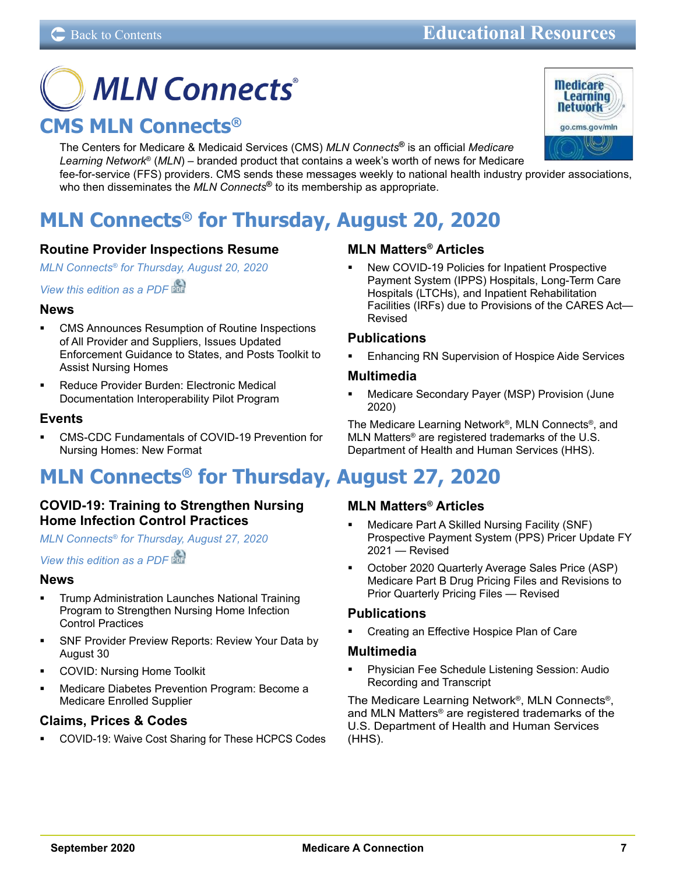# <span id="page-6-0"></span>**MLN Connects® CMS MLN Connects®**

The Centers for Medicare & Medicaid Services (CMS) *MLN Connects***®** is an official *Medicare Learning Network*® (*MLN*) – branded product that contains a week's worth of news for Medicare fee-for-service (FFS) providers. CMS sends these messages weekly to national health industry provider associations, who then disseminates the *MLN Connects***®** to its membership as appropriate.

# **MLN Connects® for Thursday, August 20, 2020**

### **Routine Provider Inspections Resume**

*MLN Connects® [for Thursday, August 20, 2020](https://www.cms.gov/outreach-and-educationoutreachffsprovpartprogprovider-partnership-email-archive/2020-08-20-mlnc)*

### *[View this edition as a PDF](https://www.cms.gov/files/document/2020-08-20-mlnc.pdf)*

### **News**

- CMS Announces Resumption of Routine Inspections of All Provider and Suppliers, Issues Updated Enforcement Guidance to States, and Posts Toolkit to Assist Nursing Homes
- Reduce Provider Burden: Electronic Medical Documentation Interoperability Pilot Program

### **Events**

 CMS-CDC Fundamentals of COVID-19 Prevention for Nursing Homes: New Format

# **MLN Connects® for Thursday, August 27, 2020**

### **COVID-19: Training to Strengthen Nursing Home Infection Control Practices**

*MLN Connects® [for Thursday, August 27, 2020](https://www.cms.gov/outreach-and-educationoutreachffsprovpartprogprovider-partnership-email-archive/2020-08-27-mlnc)*

*[View this edition as a PDF](https://www.cms.gov/files/document/2020-08-27-mlnc.pdf)* 

### **News**

- Trump Administration Launches National Training Program to Strengthen Nursing Home Infection Control Practices
- SNF Provider Preview Reports: Review Your Data by August 30
- COVID: Nursing Home Toolkit
- Medicare Diabetes Prevention Program: Become a Medicare Enrolled Supplier

### **Claims, Prices & Codes**

 COVID-19: Waive Cost Sharing for These HCPCS Codes

### **MLN Matters® Articles**

 New COVID-19 Policies for Inpatient Prospective Payment System (IPPS) Hospitals, Long-Term Care Hospitals (LTCHs), and Inpatient Rehabilitation Facilities (IRFs) due to Provisions of the CARES Act— Revised

### **Publications**

 Enhancing RN Supervision of Hospice Aide Services

### **Multimedia**

 Medicare Secondary Payer (MSP) Provision (June 2020)

The Medicare Learning Network®, MLN Connects®, and MLN Matters® are registered trademarks of the U.S. Department of Health and Human Services (HHS).

### **MLN Matters® Articles**

- Medicare Part A Skilled Nursing Facility (SNF) Prospective Payment System (PPS) Pricer Update FY 2021 — Revised
- October 2020 Quarterly Average Sales Price (ASP) Medicare Part B Drug Pricing Files and Revisions to Prior Quarterly Pricing Files — Revised

### **Publications**

 Creating an Effective Hospice Plan of Care

### **Multimedia**

 Physician Fee Schedule Listening Session: Audio Recording and Transcript

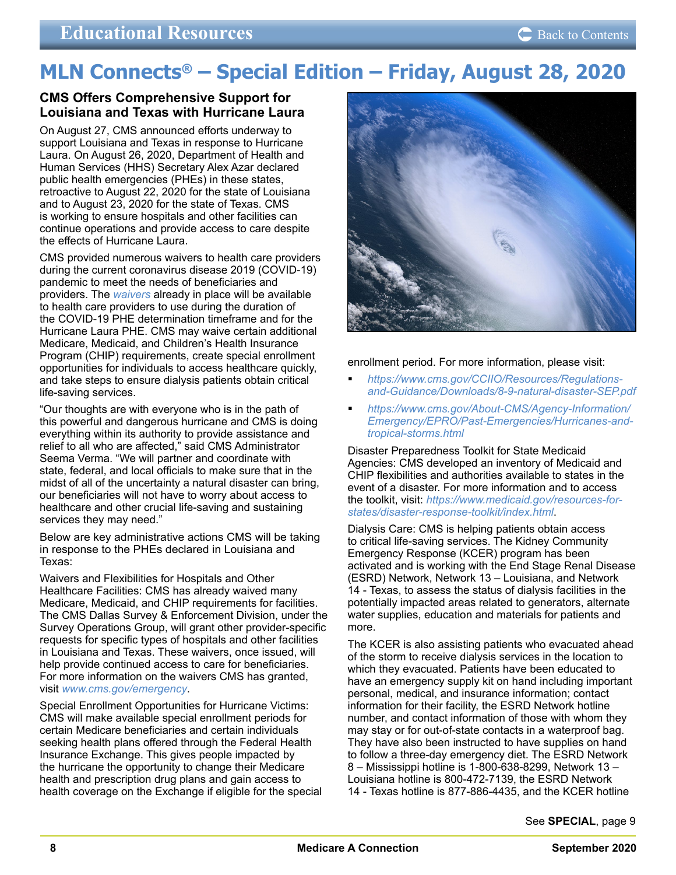# <span id="page-7-0"></span>**MLN Connects® – Special Edition – Friday, August 28, 2020**

### **CMS Offers Comprehensive Support for Louisiana and Texas with Hurricane Laura**

On August 27, CMS announced efforts underway to support Louisiana and Texas in response to Hurricane Laura. On August 26, 2020, Department of Health and Human Services (HHS) Secretary Alex Azar declared public health emergencies (PHEs) in these states, retroactive to August 22, 2020 for the state of Louisiana and to August 23, 2020 for the state of Texas. CMS is working to ensure hospitals and other facilities can continue operations and provide access to care despite the effects of Hurricane Laura.

CMS provided numerous waivers to health care providers during the current coronavirus disease 2019 (COVID-19) pandemic to meet the needs of beneficiaries and providers. The *[waivers](https://www.cms.gov/about-cms/emergency-preparedness-response-operations/current-emergencies/coronavirus-waivers)* already in place will be available to health care providers to use during the duration of the COVID-19 PHE determination timeframe and for the Hurricane Laura PHE. CMS may waive certain additional Medicare, Medicaid, and Children's Health Insurance Program (CHIP) requirements, create special enrollment opportunities for individuals to access healthcare quickly, and take steps to ensure dialysis patients obtain critical life-saving services.

"Our thoughts are with everyone who is in the path of this powerful and dangerous hurricane and CMS is doing everything within its authority to provide assistance and relief to all who are affected," said CMS Administrator Seema Verma. "We will partner and coordinate with state, federal, and local officials to make sure that in the midst of all of the uncertainty a natural disaster can bring, our beneficiaries will not have to worry about access to healthcare and other crucial life-saving and sustaining services they may need."

Below are key administrative actions CMS will be taking in response to the PHEs declared in Louisiana and Texas:

Waivers and Flexibilities for Hospitals and Other Healthcare Facilities: CMS has already waived many Medicare, Medicaid, and CHIP requirements for facilities. The CMS Dallas Survey & Enforcement Division, under the Survey Operations Group, will grant other provider-specific requests for specific types of hospitals and other facilities in Louisiana and Texas. These waivers, once issued, will help provide continued access to care for beneficiaries. For more information on the waivers CMS has granted, visit *[www.cms.gov/emergency](https://www.cms.gov/About-CMS/Agency-Information/Emergency/EPRO/EPRO-Home)*.

Special Enrollment Opportunities for Hurricane Victims: CMS will make available special enrollment periods for certain Medicare beneficiaries and certain individuals seeking health plans offered through the Federal Health Insurance Exchange. This gives people impacted by the hurricane the opportunity to change their Medicare health and prescription drug plans and gain access to health coverage on the Exchange if eligible for the special



enrollment period. For more information, please visit:

- *[https://www.cms.gov/CCIIO/Resources/Regulations](https://www.cms.gov/CCIIO/Resources/Regulations-and-Guidance/Downloads/8-9-natural-disaster-SEP.pdf)[and-Guidance/Downloads/8-9-natural-disaster-SEP.pdf](https://www.cms.gov/CCIIO/Resources/Regulations-and-Guidance/Downloads/8-9-natural-disaster-SEP.pdf)*
- *[https://www.cms.gov/About-CMS/Agency-Information/](https://www.cms.gov/About-CMS/Agency-Information/Emergency/EPRO/Past-Emergencies/Hurricanes-and-tropical-storms.html) [Emergency/EPRO/Past-Emergencies/Hurricanes-and](https://www.cms.gov/About-CMS/Agency-Information/Emergency/EPRO/Past-Emergencies/Hurricanes-and-tropical-storms.html)[tropical-storms.html](https://www.cms.gov/About-CMS/Agency-Information/Emergency/EPRO/Past-Emergencies/Hurricanes-and-tropical-storms.html)*

Disaster Preparedness Toolkit for State Medicaid Agencies: CMS developed an inventory of Medicaid and CHIP flexibilities and authorities available to states in the event of a disaster. For more information and to access the toolkit, visit: *[https://www.medicaid.gov/resources-for](https://www.medicaid.gov/resources-for-states/disaster-response-toolkit/index.html)[states/disaster-response-toolkit/index.html](https://www.medicaid.gov/resources-for-states/disaster-response-toolkit/index.html)*.

Dialysis Care: CMS is helping patients obtain access to critical life-saving services. The Kidney Community Emergency Response (KCER) program has been activated and is working with the End Stage Renal Disease (ESRD) Network, Network 13 – Louisiana, and Network 14 - Texas, to assess the status of dialysis facilities in the potentially impacted areas related to generators, alternate water supplies, education and materials for patients and more.

The KCER is also assisting patients who evacuated ahead of the storm to receive dialysis services in the location to which they evacuated. Patients have been educated to have an emergency supply kit on hand including important personal, medical, and insurance information; contact information for their facility, the ESRD Network hotline number, and contact information of those with whom they may stay or for out-of-state contacts in a waterproof bag. They have also been instructed to have supplies on hand to follow a three-day emergency diet. The ESRD Network 8 – Mississippi hotline is 1-800-638-8299, Network 13 – Louisiana hotline is 800-472-7139, the ESRD Network 14 - Texas hotline is 877-886-4435, and the KCER hotline

See **[SPECIAL](#page-8-0)**, page 9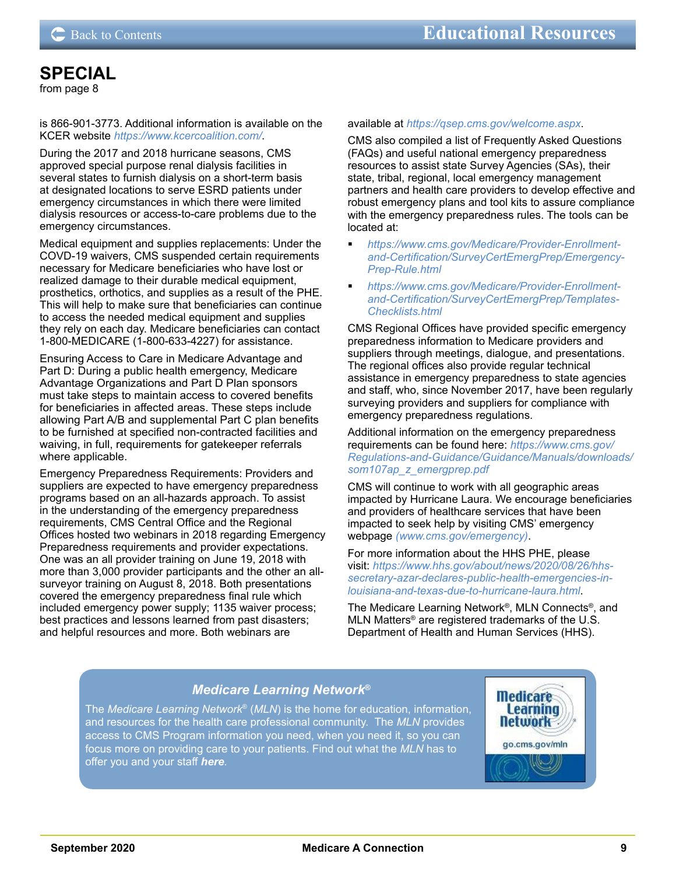### <span id="page-8-0"></span>**[SPECIAL](#page-7-0)**

[from page 8](#page-7-0)

is 866-901-3773. Additional information is available on the KCER website *<https://www.kcercoalition.com/>*.

During the 2017 and 2018 hurricane seasons, CMS approved special purpose renal dialysis facilities in several states to furnish dialysis on a short-term basis at designated locations to serve ESRD patients under emergency circumstances in which there were limited dialysis resources or access-to-care problems due to the emergency circumstances.

Medical equipment and supplies replacements: Under the COVD-19 waivers, CMS suspended certain requirements necessary for Medicare beneficiaries who have lost or realized damage to their durable medical equipment, prosthetics, orthotics, and supplies as a result of the PHE. This will help to make sure that beneficiaries can continue to access the needed medical equipment and supplies they rely on each day. Medicare beneficiaries can contact 1-800-MEDICARE (1-800-633-4227) for assistance.

Ensuring Access to Care in Medicare Advantage and Part D: During a public health emergency, Medicare Advantage Organizations and Part D Plan sponsors must take steps to maintain access to covered benefits for beneficiaries in affected areas. These steps include allowing Part A/B and supplemental Part C plan benefits to be furnished at specified non-contracted facilities and waiving, in full, requirements for gatekeeper referrals where applicable.

Emergency Preparedness Requirements: Providers and suppliers are expected to have emergency preparedness programs based on an all-hazards approach. To assist in the understanding of the emergency preparedness requirements, CMS Central Office and the Regional Offices hosted two webinars in 2018 regarding Emergency Preparedness requirements and provider expectations. One was an all provider training on June 19, 2018 with more than 3,000 provider participants and the other an allsurveyor training on August 8, 2018. Both presentations covered the emergency preparedness final rule which included emergency power supply; 1135 waiver process; best practices and lessons learned from past disasters; and helpful resources and more. Both webinars are

#### available at *<https://qsep.cms.gov/welcome.aspx>*.

CMS also compiled a list of Frequently Asked Questions (FAQs) and useful national emergency preparedness resources to assist state Survey Agencies (SAs), their state, tribal, regional, local emergency management partners and health care providers to develop effective and robust emergency plans and tool kits to assure compliance with the emergency preparedness rules. The tools can be located at:

- *[https://www.cms.gov/Medicare/Provider-Enrollment](https://www.cms.gov/Medicare/Provider-Enrollment-and-Certification/SurveyCertEmergPrep/Emergency-Prep-Rule.html)[and-Certification/SurveyCertEmergPrep/Emergency-](https://www.cms.gov/Medicare/Provider-Enrollment-and-Certification/SurveyCertEmergPrep/Emergency-Prep-Rule.html)[Prep-Rule.html](https://www.cms.gov/Medicare/Provider-Enrollment-and-Certification/SurveyCertEmergPrep/Emergency-Prep-Rule.html)*
- *[https://www.cms.gov/Medicare/Provider-Enrollment](https://www.cms.gov/Medicare/Provider-Enrollment-and-Certification/SurveyCertEmergPrep/Templates-Checklists.html)[and-Certification/SurveyCertEmergPrep/Templates-](https://www.cms.gov/Medicare/Provider-Enrollment-and-Certification/SurveyCertEmergPrep/Templates-Checklists.html)[Checklists.html](https://www.cms.gov/Medicare/Provider-Enrollment-and-Certification/SurveyCertEmergPrep/Templates-Checklists.html)*

CMS Regional Offices have provided specific emergency preparedness information to Medicare providers and suppliers through meetings, dialogue, and presentations. The regional offices also provide regular technical assistance in emergency preparedness to state agencies and staff, who, since November 2017, have been regularly surveying providers and suppliers for compliance with emergency preparedness regulations.

Additional information on the emergency preparedness requirements can be found here: *[https://www.cms.gov/](https://www.cms.gov/Regulations-and-Guidance/Guidance/Manuals/downloads/som107ap_z_emergprep.pdf) [Regulations-and-Guidance/Guidance/Manuals/downloads/](https://www.cms.gov/Regulations-and-Guidance/Guidance/Manuals/downloads/som107ap_z_emergprep.pdf) [som107ap\\_z\\_emergprep.pdf](https://www.cms.gov/Regulations-and-Guidance/Guidance/Manuals/downloads/som107ap_z_emergprep.pdf)*

CMS will continue to work with all geographic areas impacted by Hurricane Laura. We encourage beneficiaries and providers of healthcare services that have been impacted to seek help by visiting CMS' emergency webpage *[\(www.cms.gov/emergency\)](https://www.cms.gov/About-CMS/Agency-Information/Emergency/EPRO/EPRO-Home)*.

For more information about the HHS PHE, please visit: *[https://www.hhs.gov/about/news/2020/08/26/hhs](https://www.hhs.gov/about/news/2020/08/26/hhs-secretary-azar-declares-public-health-emergencies-in-louisiana-and-texas-due-to-hurricane-laura.html)[secretary-azar-declares-public-health-emergencies-in](https://www.hhs.gov/about/news/2020/08/26/hhs-secretary-azar-declares-public-health-emergencies-in-louisiana-and-texas-due-to-hurricane-laura.html)[louisiana-and-texas-due-to-hurricane-laura.html](https://www.hhs.gov/about/news/2020/08/26/hhs-secretary-azar-declares-public-health-emergencies-in-louisiana-and-texas-due-to-hurricane-laura.html)*.

The Medicare Learning Network®, MLN Connects®, and MLN Matters® are registered trademarks of the U.S. Department of Health and Human Services (HHS).

### *Medicare Learning Network***®**

The *Medicare Learning Network*® (*MLN*) is the home for education, information, and resources for the health care professional community. The *MLN* provides [access to CMS Program information you need, when you need it, so you can](https://www.cms.gov/Outreach-and-Education/Medicare-Learning-Network-MLN/MLNGenInfo/index.html)  focus more on providing care to your patients. Find out what the *MLN* has to offer you and your staff *[here](https://www.cms.gov/Outreach-and-Education/Medicare-Learning-Network-MLN/MLNGenInfo/index.html)*.

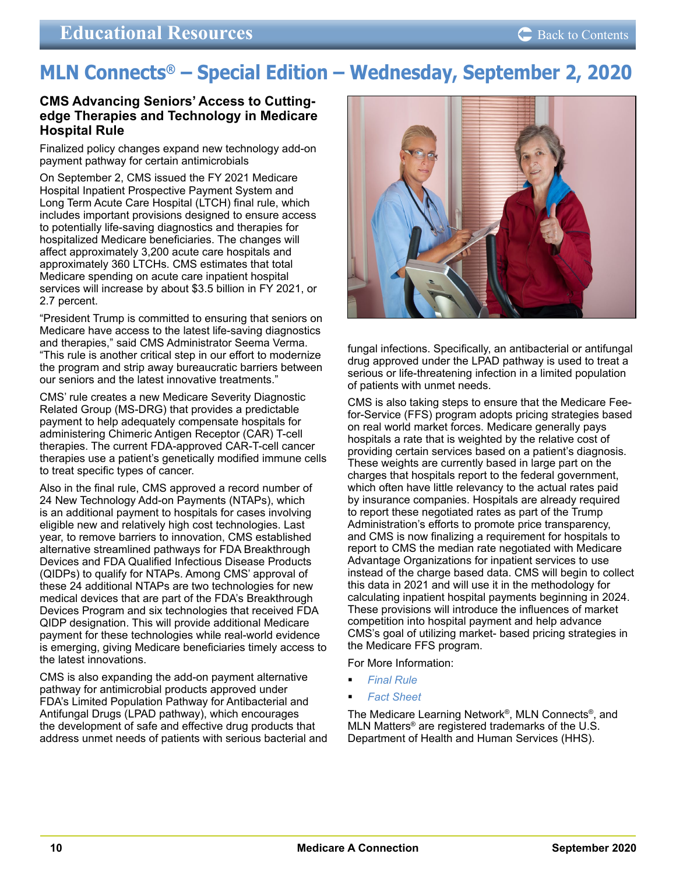# <span id="page-9-0"></span>**MLN Connects® – Special Edition – Wednesday, September 2, 2020**

### **CMS Advancing Seniors' Access to Cuttingedge Therapies and Technology in Medicare Hospital Rule**

Finalized policy changes expand new technology add-on payment pathway for certain antimicrobials

On September 2, CMS issued the FY 2021 Medicare Hospital Inpatient Prospective Payment System and Long Term Acute Care Hospital (LTCH) final rule, which includes important provisions designed to ensure access to potentially life-saving diagnostics and therapies for hospitalized Medicare beneficiaries. The changes will affect approximately 3,200 acute care hospitals and approximately 360 LTCHs. CMS estimates that total Medicare spending on acute care inpatient hospital services will increase by about \$3.5 billion in FY 2021, or 2.7 percent.

"President Trump is committed to ensuring that seniors on Medicare have access to the latest life-saving diagnostics and therapies," said CMS Administrator Seema Verma. "This rule is another critical step in our effort to modernize the program and strip away bureaucratic barriers between our seniors and the latest innovative treatments."

CMS' rule creates a new Medicare Severity Diagnostic Related Group (MS-DRG) that provides a predictable payment to help adequately compensate hospitals for administering Chimeric Antigen Receptor (CAR) T-cell therapies. The current FDA-approved CAR-T-cell cancer therapies use a patient's genetically modified immune cells to treat specific types of cancer.

Also in the final rule, CMS approved a record number of 24 New Technology Add-on Payments (NTAPs), which is an additional payment to hospitals for cases involving eligible new and relatively high cost technologies. Last year, to remove barriers to innovation, CMS established alternative streamlined pathways for FDA Breakthrough Devices and FDA Qualified Infectious Disease Products (QIDPs) to qualify for NTAPs. Among CMS' approval of these 24 additional NTAPs are two technologies for new medical devices that are part of the FDA's Breakthrough Devices Program and six technologies that received FDA QIDP designation. This will provide additional Medicare payment for these technologies while real-world evidence is emerging, giving Medicare beneficiaries timely access to the latest innovations.

CMS is also expanding the add-on payment alternative pathway for antimicrobial products approved under FDA's Limited Population Pathway for Antibacterial and Antifungal Drugs (LPAD pathway), which encourages the development of safe and effective drug products that address unmet needs of patients with serious bacterial and



fungal infections. Specifically, an antibacterial or antifungal drug approved under the LPAD pathway is used to treat a serious or life-threatening infection in a limited population of patients with unmet needs.

CMS is also taking steps to ensure that the Medicare Feefor-Service (FFS) program adopts pricing strategies based on real world market forces. Medicare generally pays hospitals a rate that is weighted by the relative cost of providing certain services based on a patient's diagnosis. These weights are currently based in large part on the charges that hospitals report to the federal government, which often have little relevancy to the actual rates paid by insurance companies. Hospitals are already required to report these negotiated rates as part of the Trump Administration's efforts to promote price transparency, and CMS is now finalizing a requirement for hospitals to report to CMS the median rate negotiated with Medicare Advantage Organizations for inpatient services to use instead of the charge based data. CMS will begin to collect this data in 2021 and will use it in the methodology for calculating inpatient hospital payments beginning in 2024. These provisions will introduce the influences of market competition into hospital payment and help advance CMS's goal of utilizing market- based pricing strategies in the Medicare FFS program.

For More Information:

- *[Final Rule](https://www.federalregister.gov/documents/2020/09/18/2020-19637/medicare-program-hospital-inpatient-prospective-payment-systems-for-acute-care-hospitals-and-the)*
- *[Fact Sheet](https://www.cms.gov/newsroom/fact-sheets/fiscal-year-fy-2021-medicare-hospital-inpatient-prospective-payment-system-ipps-and-long-term-acute-0)*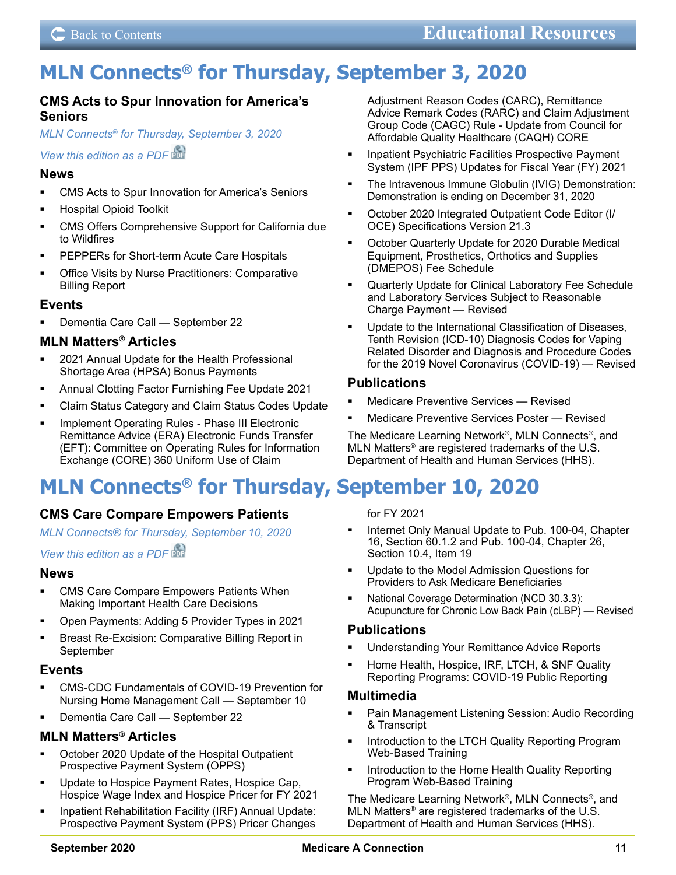# <span id="page-10-0"></span>**MLN Connects® for Thursday, September 3, 2020**

### **CMS Acts to Spur Innovation for America's Seniors**

*MLN Connects® [for Thursday, September 3, 2020](https://www.cms.gov/outreach-and-educationoutreachffsprovpartprogprovider-partnership-email-archive/2020-09-03-mlnc) [View this edition as a PDF](https://www.cms.gov/files/document/2020-09-03-mlnc.pdf)* 

### **News**

- CMS Acts to Spur Innovation for America's Seniors
- Hospital Opioid Toolkit
- CMS Offers Comprehensive Support for California due to Wildfires
- PEPPERs for Short-term Acute Care Hospitals
- **Demogle Set Contative** Practitioners: Comparative Billing Report

### **Events**

 Dementia Care Call — September 22

### **MLN Matters® Articles**

- 2021 Annual Update for the Health Professional Shortage Area (HPSA) Bonus Payments
- Annual Clotting Factor Furnishing Fee Update 2021
- Claim Status Category and Claim Status Codes Update
- Implement Operating Rules Phase III Electronic Remittance Advice (ERA) Electronic Funds Transfer (EFT): Committee on Operating Rules for Information Exchange (CORE) 360 Uniform Use of Claim

# **MLN Connects® for Thursday, September 10, 2020**

### **CMS Care Compare Empowers Patients**

*MLN Connects® [for Thursday, September 10, 2020](https://www.cms.gov/outreach-and-educationoutreachffsprovpartprogprovider-partnership-email-archive/2020-09-10-mlnc)*

*[View this edition as a PDF](https://www.cms.gov/files/document/2020-09-10-mlnc.pdf)* 

### **News**

- **EXECOMS Care Compare Empowers Patients When** Making Important Health Care Decisions
- Open Payments: Adding 5 Provider Types in 2021
- Breast Re-Excision: Comparative Billing Report in September

### **Events**

- CMS-CDC Fundamentals of COVID-19 Prevention for Nursing Home Management Call — September 10
- Dementia Care Call September 22

### **MLN Matters® Articles**

- October 2020 Update of the Hospital Outpatient Prospective Payment System (OPPS)
- Update to Hospice Payment Rates, Hospice Cap, Hospice Wage Index and Hospice Pricer for FY 2021
- Inpatient Rehabilitation Facility (IRF) Annual Update: Prospective Payment System (PPS) Pricer Changes

Adjustment Reason Codes (CARC), Remittance Advice Remark Codes (RARC) and Claim Adjustment Group Code (CAGC) Rule - Update from Council for Affordable Quality Healthcare (CAQH) CORE

- **Inpatient Psychiatric Facilities Prospective Payment** System (IPF PPS) Updates for Fiscal Year (FY) 2021
- The Intravenous Immune Globulin (IVIG) Demonstration: Demonstration is ending on December 31, 2020
- October 2020 Integrated Outpatient Code Editor (I/ OCE) Specifications Version 21.3
- October Quarterly Update for 2020 Durable Medical Equipment, Prosthetics, Orthotics and Supplies (DMEPOS) Fee Schedule
- Quarterly Update for Clinical Laboratory Fee Schedule and Laboratory Services Subject to Reasonable Charge Payment — Revised
- Update to the International Classification of Diseases, Tenth Revision (ICD-10) Diagnosis Codes for Vaping Related Disorder and Diagnosis and Procedure Codes for the 2019 Novel Coronavirus (COVID-19) — Revised

### **Publications**

- Medicare Preventive Services Revised
- Medicare Preventive Services Poster Revised

The Medicare Learning Network®, MLN Connects®, and MLN Matters® are registered trademarks of the U.S. Department of Health and Human Services (HHS).

for FY 2021

- Internet Only Manual Update to Pub. 100-04, Chapter 16, Section 60.1.2 and Pub. 100-04, Chapter 26, Section 10.4, Item 19
- Update to the Model Admission Questions for Providers to Ask Medicare Beneficiaries
- National Coverage Determination (NCD 30.3.3): Acupuncture for Chronic Low Back Pain (cLBP) — Revised

### **Publications**

- Understanding Your Remittance Advice Reports
- Home Health, Hospice, IRF, LTCH, & SNF Quality Reporting Programs: COVID-19 Public Reporting

### **Multimedia**

- Pain Management Listening Session: Audio Recording & Transcript
- Introduction to the LTCH Quality Reporting Program Web-Based Training
- Introduction to the Home Health Quality Reporting Program Web-Based Training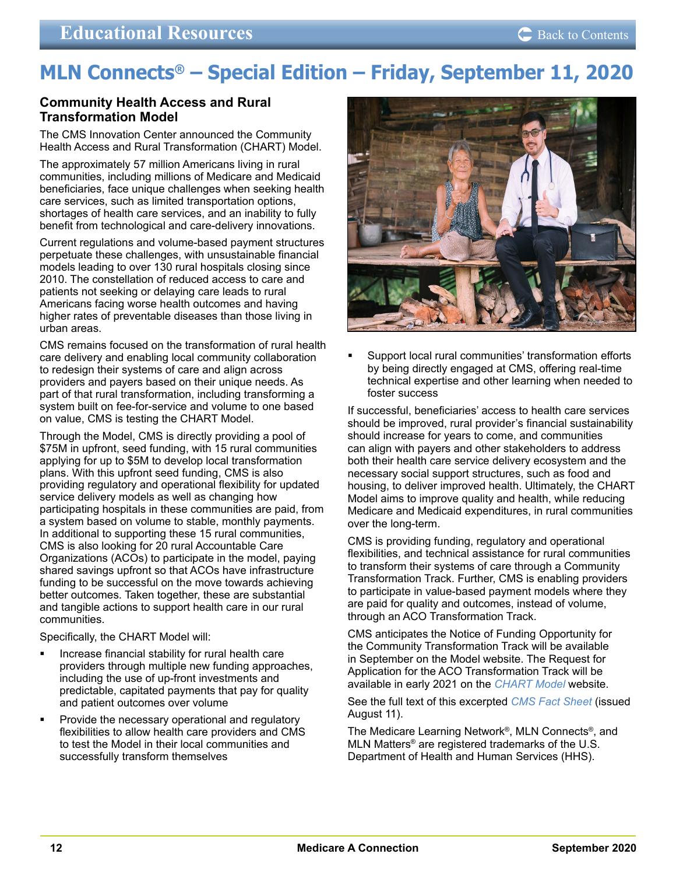# <span id="page-11-0"></span>**MLN Connects® – Special Edition – Friday, September 11, 2020**

### **Community Health Access and Rural Transformation Model**

The CMS Innovation Center announced the Community Health Access and Rural Transformation (CHART) Model.

The approximately 57 million Americans living in rural communities, including millions of Medicare and Medicaid beneficiaries, face unique challenges when seeking health care services, such as limited transportation options, shortages of health care services, and an inability to fully benefit from technological and care-delivery innovations.

Current regulations and volume-based payment structures perpetuate these challenges, with unsustainable financial models leading to over 130 rural hospitals closing since 2010. The constellation of reduced access to care and patients not seeking or delaying care leads to rural Americans facing worse health outcomes and having higher rates of preventable diseases than those living in urban areas.

CMS remains focused on the transformation of rural health care delivery and enabling local community collaboration to redesign their systems of care and align across providers and payers based on their unique needs. As part of that rural transformation, including transforming a system built on fee-for-service and volume to one based on value, CMS is testing the CHART Model.

Through the Model, CMS is directly providing a pool of \$75M in upfront, seed funding, with 15 rural communities applying for up to \$5M to develop local transformation plans. With this upfront seed funding, CMS is also providing regulatory and operational flexibility for updated service delivery models as well as changing how participating hospitals in these communities are paid, from a system based on volume to stable, monthly payments. In additional to supporting these 15 rural communities, CMS is also looking for 20 rural Accountable Care Organizations (ACOs) to participate in the model, paying shared savings upfront so that ACOs have infrastructure funding to be successful on the move towards achieving better outcomes. Taken together, these are substantial and tangible actions to support health care in our rural communities.

Specifically, the CHART Model will:

- Increase financial stability for rural health care providers through multiple new funding approaches, including the use of up-front investments and predictable, capitated payments that pay for quality and patient outcomes over volume
- Provide the necessary operational and regulatory flexibilities to allow health care providers and CMS to test the Model in their local communities and successfully transform themselves



 Support local rural communities' transformation efforts by being directly engaged at CMS, offering real-time technical expertise and other learning when needed to foster success

If successful, beneficiaries' access to health care services should be improved, rural provider's financial sustainability should increase for years to come, and communities can align with payers and other stakeholders to address both their health care service delivery ecosystem and the necessary social support structures, such as food and housing, to deliver improved health. Ultimately, the CHART Model aims to improve quality and health, while reducing Medicare and Medicaid expenditures, in rural communities over the long-term.

CMS is providing funding, regulatory and operational flexibilities, and technical assistance for rural communities to transform their systems of care through a Community Transformation Track. Further, CMS is enabling providers to participate in value-based payment models where they are paid for quality and outcomes, instead of volume, through an ACO Transformation Track.

CMS anticipates the Notice of Funding Opportunity for the Community Transformation Track will be available in September on the Model website. The Request for Application for the ACO Transformation Track will be available in early 2021 on the *[CHART Model](https://innovation.cms.gov/innovation-models/chart-model)* website.

See the full text of this excerpted *[CMS Fact Sheet](https://www.cms.gov/newsroom/fact-sheets/community-health-access-and-rural-transformation-chart-model-fact-sheet)* (issued August 11).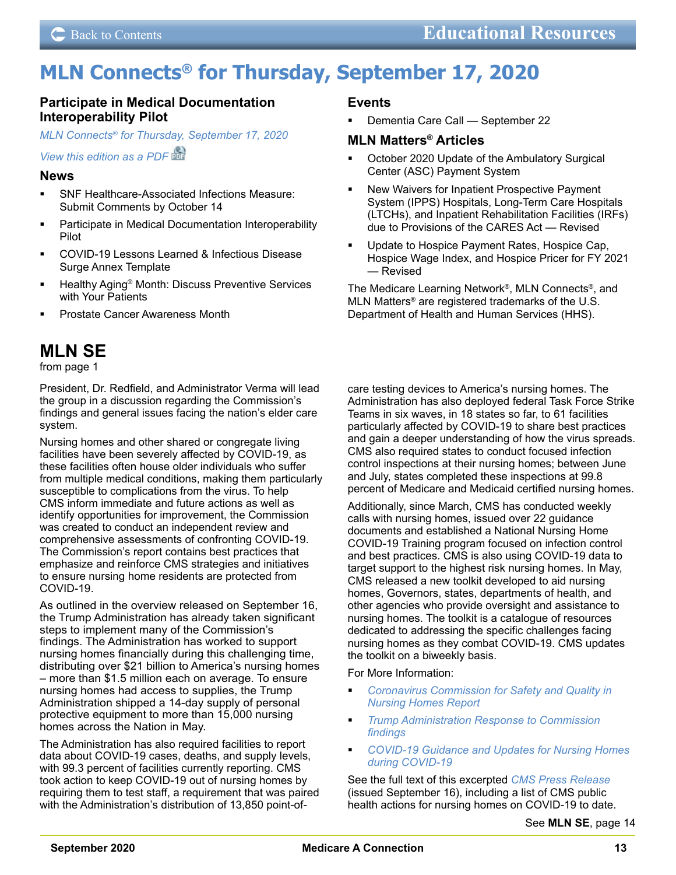# <span id="page-12-0"></span>**MLN Connects® for Thursday, September 17, 2020**

### **Participate in Medical Documentation Interoperability Pilot**

*MLN Connects® [for Thursday, September 17, 2020](https://www.cms.gov/outreach-and-educationoutreachffsprovpartprogprovider-partnership-email-archive/2020-09-17-mlnc)*

*[View this edition as a PDF](https://www.cms.gov/files/document/2020-09-17-mlnc.pdf)* 

### **News**

- SNF Healthcare-Associated Infections Measure: Submit Comments by October 14
- Participate in Medical Documentation Interoperability Pilot
- COVID-19 Lessons Learned & Infectious Disease Surge Annex Template
- Healthy Aging® Month: Discuss Preventive Services with Your Patients
- Prostate Cancer Awareness Month

### **[MLN SE](#page-0-0)**

[from page 1](#page-0-0)

President, Dr. Redfield, and Administrator Verma will lead the group in a discussion regarding the Commission's findings and general issues facing the nation's elder care system.

Nursing homes and other shared or congregate living facilities have been severely affected by COVID-19, as these facilities often house older individuals who suffer from multiple medical conditions, making them particularly susceptible to complications from the virus. To help CMS inform immediate and future actions as well as identify opportunities for improvement, the Commission was created to conduct an independent review and comprehensive assessments of confronting COVID-19. The Commission's report contains best practices that emphasize and reinforce CMS strategies and initiatives to ensure nursing home residents are protected from COVID-19.

As outlined in the overview released on September 16, the Trump Administration has already taken significant steps to implement many of the Commission's findings. The Administration has worked to support nursing homes financially during this challenging time, distributing over \$21 billion to America's nursing homes – more than \$1.5 million each on average. To ensure nursing homes had access to supplies, the Trump Administration shipped a 14-day supply of personal protective equipment to more than 15,000 nursing homes across the Nation in May.

The Administration has also required facilities to report data about COVID-19 cases, deaths, and supply levels, with 99.3 percent of facilities currently reporting. CMS took action to keep COVID-19 out of nursing homes by requiring them to test staff, a requirement that was paired with the Administration's distribution of 13,850 point-of-

### **Events**

 Dementia Care Call — September 22

### **MLN Matters® Articles**

- October 2020 Update of the Ambulatory Surgical Center (ASC) Payment System
- New Waivers for Inpatient Prospective Payment System (IPPS) Hospitals, Long-Term Care Hospitals (LTCHs), and Inpatient Rehabilitation Facilities (IRFs) due to Provisions of the CARES Act — Revised
- Update to Hospice Payment Rates, Hospice Cap, Hospice Wage Index, and Hospice Pricer for FY 2021 — Revised

The Medicare Learning Network®, MLN Connects®, and MLN Matters® are registered trademarks of the U.S. Department of Health and Human Services (HHS).

care testing devices to America's nursing homes. The Administration has also deployed federal Task Force Strike Teams in six waves, in 18 states so far, to 61 facilities particularly affected by COVID-19 to share best practices and gain a deeper understanding of how the virus spreads. CMS also required states to conduct focused infection control inspections at their nursing homes; between June and July, states completed these inspections at 99.8 percent of Medicare and Medicaid certified nursing homes.

Additionally, since March, CMS has conducted weekly calls with nursing homes, issued over 22 guidance documents and established a National Nursing Home COVID-19 Training program focused on infection control and best practices. CMS is also using COVID-19 data to target support to the highest risk nursing homes. In May, CMS released a new toolkit developed to aid nursing homes, Governors, states, departments of health, and other agencies who provide oversight and assistance to nursing homes. The toolkit is a catalogue of resources dedicated to addressing the specific challenges facing nursing homes as they combat COVID-19. CMS updates the toolkit on a biweekly basis.

For More Information:

- *[Coronavirus Commission for Safety and Quality in](https://edit.cms.gov/files/document/covid-final-nh-commission-report.pdf)  [Nursing Homes Report](https://edit.cms.gov/files/document/covid-final-nh-commission-report.pdf)*
- *[Trump Administration Response to Commission](https://edit.cms.gov/files/document/covid-independent-nursing-home-covid-19-federal-response.pdf)  [findings](https://edit.cms.gov/files/document/covid-independent-nursing-home-covid-19-federal-response.pdf)*
- *[COVID-19 Guidance and Updates for Nursing Homes](https://edit.cms.gov/files/document/covid-guidance-and-updates-nursing-homes-during-covid-19.pdf)  [during COVID-19](https://edit.cms.gov/files/document/covid-guidance-and-updates-nursing-homes-during-covid-19.pdf)*

See the full text of this excerpted *[CMS Press Release](https://www.cms.gov/newsroom/press-releases/independent-nursing-home-covid-19-commission-findings-validate-unprecedented-federal-response)* (issued September 16), including a list of CMS public health actions for nursing homes on COVID-19 to date.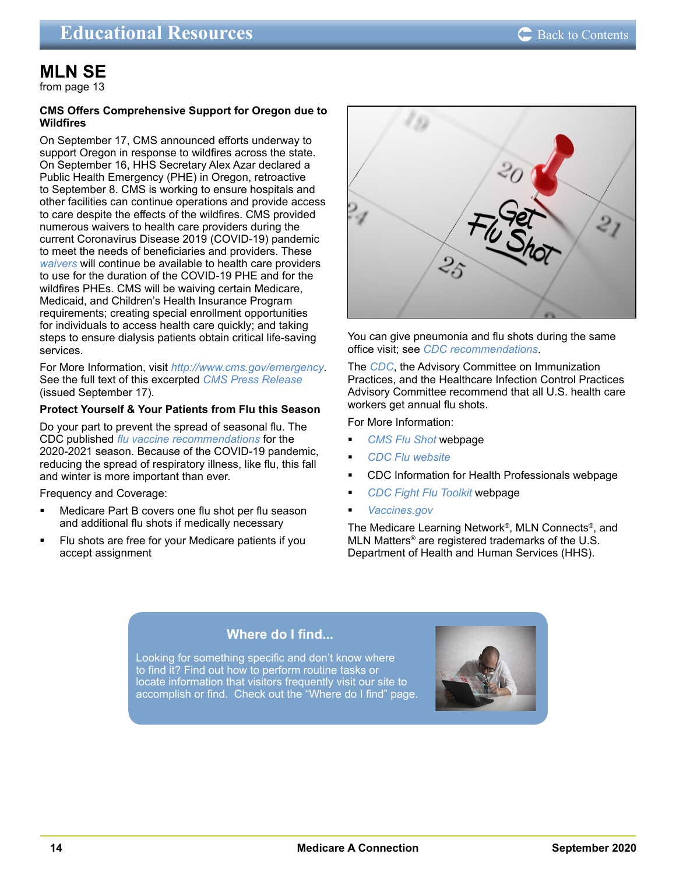### <span id="page-13-0"></span>**[MLN SE](#page-12-0)**

[from page 13](#page-12-0)

### **CMS Offers Comprehensive Support for Oregon due to Wildfires**

On September 17, CMS announced efforts underway to support Oregon in response to wildfires across the state. On September 16, HHS Secretary Alex Azar declared a Public Health Emergency (PHE) in Oregon, retroactive to September 8. CMS is working to ensure hospitals and other facilities can continue operations and provide access to care despite the effects of the wildfires. CMS provided numerous waivers to health care providers during the current Coronavirus Disease 2019 (COVID-19) pandemic to meet the needs of beneficiaries and providers. These *[waivers](https://www.cms.gov/about-cms/emergency-preparedness-response-operations/current-emergencies/coronavirus-waivers)* will continue be available to health care providers to use for the duration of the COVID-19 PHE and for the wildfires PHEs. CMS will be waiving certain Medicare, Medicaid, and Children's Health Insurance Program requirements; creating special enrollment opportunities for individuals to access health care quickly; and taking steps to ensure dialysis patients obtain critical life-saving services.

For More Information, visit *<http://www.cms.gov/emergency>*. See the full text of this excerpted *[CMS Press Release](https://www.cms.gov/newsroom/press-releases/cms-offers-comprehensive-support-oregon-due-wildfires)* (issued September 17).

### **Protect Yourself & Your Patients from Flu this Season**

Do your part to prevent the spread of seasonal flu. The CDC published *[flu vaccine recommendations](https://www.cdc.gov/flu/professionals/acip/summary/summary-recommendations.htm)* for the 2020-2021 season. Because of the COVID-19 pandemic, reducing the spread of respiratory illness, like flu, this fall and winter is more important than ever.

Frequency and Coverage:

- Medicare Part B covers one flu shot per flu season and additional flu shots if medically necessary
- Flu shots are free for your Medicare patients if you accept assignment



You can give pneumonia and flu shots during the same office visit; see *[CDC recommendations](https://www.cdc.gov/vaccines/schedules/hcp/imz/adult.html?CDC_AA_refVal=https%3A%2F%2Fwww.cdc.gov%2Fvaccines%2Fschedules%2Fhcp%2Fadult.html)*.

The *[CDC](https://www.cdc.gov/flu/professionals/healthcareworkers.htm)*, the Advisory Committee on Immunization Practices, and the Healthcare Infection Control Practices Advisory Committee recommend that all U.S. health care workers get annual flu shots.

For More Information:

- *[CMS Flu Shot](https://www.cms.gov/flu-provider)* webpage
- *[CDC Flu website](https://www.cdc.gov/FLU/)*
- [CDC Information for Health Professionals](https://www.cdc.gov/flu/professionals/index.htm) webpage
- *[CDC Fight Flu Toolkit](https://www.cdc.gov/flu/professionals/vaccination/prepare-practice-tools.htm)* webpage
- *[Vaccines.gov](https://www.vaccines.gov/)*

The Medicare Learning Network®, MLN Connects®, and MLN Matters® are registered trademarks of the U.S. Department of Health and Human Services (HHS).

### **Where do I find...**

Looking for something specific and don't know where to find it? Find out how to perform routine tasks or locate information that visitors frequently visit our site to [accomplish or find. Check out the "Where do I find" page.](https://medicare.fcso.com/landing/235880.asp) 

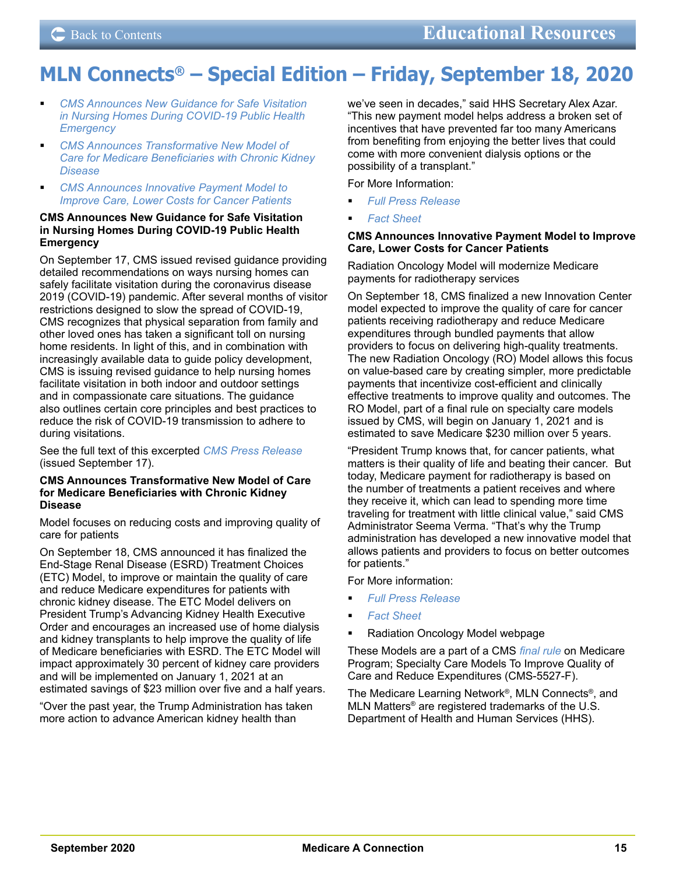# <span id="page-14-0"></span>**MLN Connects® – Special Edition – Friday, September 18, 2020**

- *CMS Announces New Guidance for Safe Visitation in Nursing Homes During COVID-19 Public Health Emergency*
- *CMS Announces Transformative New Model of Care for Medicare Beneficiaries with Chronic Kidney Disease*
- *CMS Announces Innovative Payment Model to Improve Care, Lower Costs for Cancer Patients*

### **CMS Announces New Guidance for Safe Visitation in Nursing Homes During COVID-19 Public Health Emergency**

On September 17, CMS issued revised guidance providing detailed recommendations on ways nursing homes can safely facilitate visitation during the coronavirus disease 2019 (COVID-19) pandemic. After several months of visitor restrictions designed to slow the spread of COVID-19, CMS recognizes that physical separation from family and other loved ones has taken a significant toll on nursing home residents. In light of this, and in combination with increasingly available data to guide policy development, CMS is issuing revised guidance to help nursing homes facilitate visitation in both indoor and outdoor settings and in compassionate care situations. The guidance also outlines certain core principles and best practices to reduce the risk of COVID-19 transmission to adhere to during visitations.

See the full text of this excerpted *[CMS Press Release](https://edit.cms.gov/newsroom/press-releases/cms-announces-new-guidance-safe-visitation-nursing-homes-during-covid-19-public-health-emergency)* (issued September 17).

#### **CMS Announces Transformative New Model of Care for Medicare Beneficiaries with Chronic Kidney Disease**

Model focuses on reducing costs and improving quality of care for patients

On September 18, CMS announced it has finalized the End-Stage Renal Disease (ESRD) Treatment Choices (ETC) Model, to improve or maintain the quality of care and reduce Medicare expenditures for patients with chronic kidney disease. The ETC Model delivers on President Trump's Advancing Kidney Health Executive Order and encourages an increased use of home dialysis and kidney transplants to help improve the quality of life of Medicare beneficiaries with ESRD. The ETC Model will impact approximately 30 percent of kidney care providers and will be implemented on January 1, 2021 at an estimated savings of \$23 million over five and a half years.

"Over the past year, the Trump Administration has taken more action to advance American kidney health than

we've seen in decades," said HHS Secretary Alex Azar. "This new payment model helps address a broken set of incentives that have prevented far too many Americans from benefiting from enjoying the better lives that could come with more convenient dialysis options or the possibility of a transplant."

For More Information:

- *[Full Press Release](https://www.cms.gov/newsroom/press-releases/cms-announces-transformative-new-model-care-medicare-beneficiaries-chronic-kidney-disease)*
- *[Fact Sheet](https://www.cms.gov/newsroom/fact-sheets/end-stage-renal-disease-treatment-choices-etc-model-fact-sheet)*

### **CMS Announces Innovative Payment Model to Improve Care, Lower Costs for Cancer Patients**

Radiation Oncology Model will modernize Medicare payments for radiotherapy services

On September 18, CMS finalized a new Innovation Center model expected to improve the quality of care for cancer patients receiving radiotherapy and reduce Medicare expenditures through bundled payments that allow providers to focus on delivering high-quality treatments. The new Radiation Oncology (RO) Model allows this focus on value-based care by creating simpler, more predictable payments that incentivize cost-efficient and clinically effective treatments to improve quality and outcomes. The RO Model, part of a final rule on specialty care models issued by CMS, will begin on January 1, 2021 and is estimated to save Medicare \$230 million over 5 years.

"President Trump knows that, for cancer patients, what matters is their quality of life and beating their cancer. But today, Medicare payment for radiotherapy is based on the number of treatments a patient receives and where they receive it, which can lead to spending more time traveling for treatment with little clinical value," said CMS Administrator Seema Verma. "That's why the Trump administration has developed a new innovative model that allows patients and providers to focus on better outcomes for patients."

For More information:

- *[Full Press Release](https://www.cms.gov/newsroom/press-releases/cms-announces-innovative-payment-model-improve-care-lower-costs-cancer-patients)*
- *[Fact Sheet](https://www.cms.gov/newsroom/fact-sheets/radiation-oncology-ro-model-fact-sheet)*
- [Radiation Oncology Model](https://innovation.cms.gov/innovation-models/radiation-oncology-model) webpage

These Models are a part of a CMS *[final rule](https://innovation.cms.gov/media/document/specialty-care-models-rule)* on Medicare Program; Specialty Care Models To Improve Quality of Care and Reduce Expenditures (CMS-5527-F).